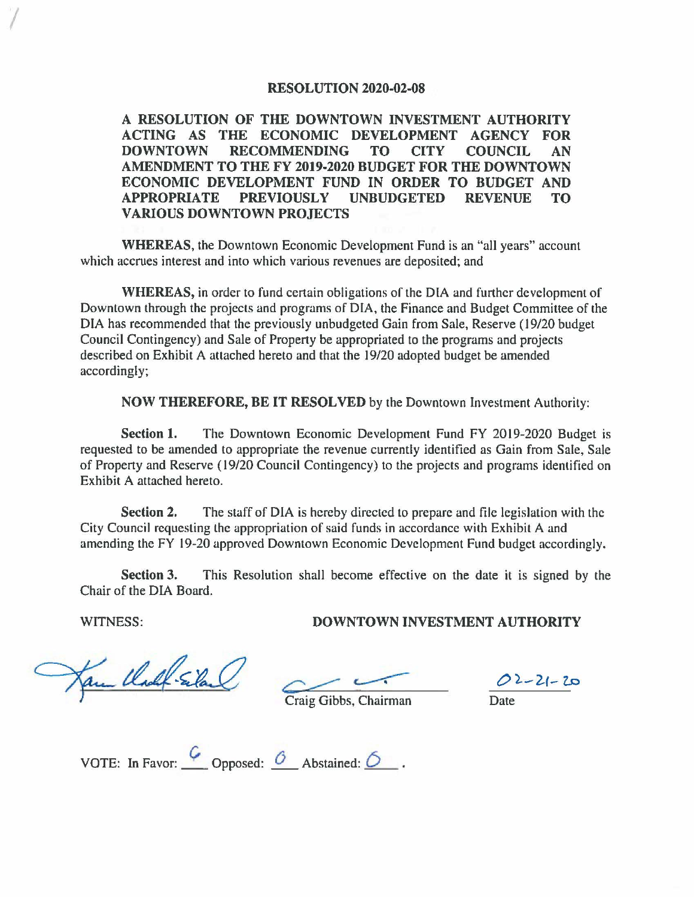## **RESOLUTION 2020-02-08**

**A RESOLUTION OF THE DOWNTOWN INVESTMENT AUTHORITY ACTING AS THE ECONOMIC DEVELOPMENT AGENCY FOR DOWNTOWN RECOMMENDING TO CITY COUNCIL AN AMENDMENT TO THE FY 2019-2020 BUDGET FOR THE DOWNTOWN ECONOMIC DEVELOPMENT FUND IN ORDER TO BUDGET AND APPROPRIATE PREVIOUSLY UNBUDGETED REVENUE TO VARIOUS DOWNTOWN PROJECTS** 

**WHEREAS,** the Downtown Economic Development Fund is an "all years" account which accrues interest and into which various revenues are deposited; and

**WHEREAS,** in order to fund certain obligations or the DIA and further development or Downtown through the projects and programs of DIA, the Finance and Budget Committee of the DIA has recommended that the previously unbudgeted Gain from Sale, Reserve (19/20 budget Council Contingency) and Sale of Property be appropriated to the programs and projects described on Exhibit A attached hereto and that the 19/20 adopted budget be amended accordingly;

**NOW THEREFORE, BE IT RESOLVED** by the Downtown Investment Authority:

**Section 1.** The Downtown Economic Development Fund FY 2019-2020 Budget is requested to be amended to appropriate the revenue currently identified as Gain from Sale, Sale of Property and Reserve ( 19/20 Council Contingency) to the projects and programs identified on Exhibit A attached hereto.

**Section 2.** The staff of DIA is hereby directed to prepare and file legislation with the City Council requesting the appropriation of said funds in accordance with Exhibit A and amending the FY 19-20 approved Downtown Economic Development Fund budget accordingly.

**Section 3.** This Resolution shall become effective on the date it is signed by the Chair of the DIA Board.

**WITNESS: DOWNTOWN INVESTMENT AUTHORITY** 

I

am Clock Siland

 $rac{0.2 - 21 - 20}{\text{Date}}$ 

Craig Gibbs, Chairman

VOTE: In Favor:  $\frac{6}{\sqrt{2}}$  Opposed:  $\frac{6}{\sqrt{2}}$  Abstained:  $\frac{6}{\sqrt{2}}$  .